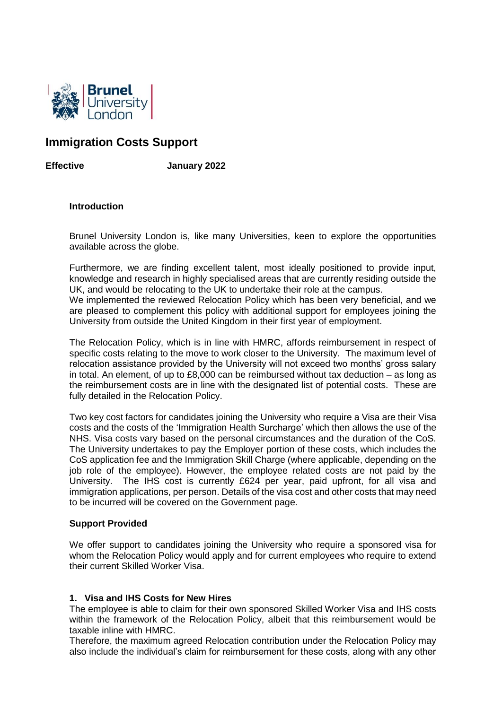

# **Immigration Costs Support**

**Effective January 2022**

## **Introduction**

Brunel University London is, like many Universities, keen to explore the opportunities available across the globe.

Furthermore, we are finding excellent talent, most ideally positioned to provide input, knowledge and research in highly specialised areas that are currently residing outside the UK, and would be relocating to the UK to undertake their role at the campus. We implemented the reviewed Relocation Policy which has been very beneficial, and we are pleased to complement this policy with additional support for employees joining the University from outside the United Kingdom in their first year of employment.

The Relocation Policy, which is in line with HMRC, affords reimbursement in respect of specific costs relating to the move to work closer to the University. The maximum level of relocation assistance provided by the University will not exceed two months' gross salary in total. An element, of up to £8,000 can be reimbursed without tax deduction – as long as the reimbursement costs are in line with the designated list of potential costs. These are fully detailed in the Relocation Policy.

Two key cost factors for candidates joining the University who require a Visa are their Visa costs and the costs of the 'Immigration Health Surcharge' which then allows the use of the NHS. Visa costs vary based on the personal circumstances and the duration of the CoS. The University undertakes to pay the Employer portion of these costs, which includes the CoS application fee and the Immigration Skill Charge (where applicable, depending on the job role of the employee). However, the employee related costs are not paid by the University. The IHS cost is currently £624 per year, paid upfront, for all visa and immigration applications, per person. Details of the visa cost and other costs that may need to be incurred will be covered on the Government page.

# **Support Provided**

We offer support to candidates joining the University who require a sponsored visa for whom the Relocation Policy would apply and for current employees who require to extend their current Skilled Worker Visa.

# **1. Visa and IHS Costs for New Hires**

The employee is able to claim for their own sponsored Skilled Worker Visa and IHS costs within the framework of the Relocation Policy, albeit that this reimbursement would be taxable inline with HMRC.

Therefore, the maximum agreed Relocation contribution under the Relocation Policy may also include the individual's claim for reimbursement for these costs, along with any other